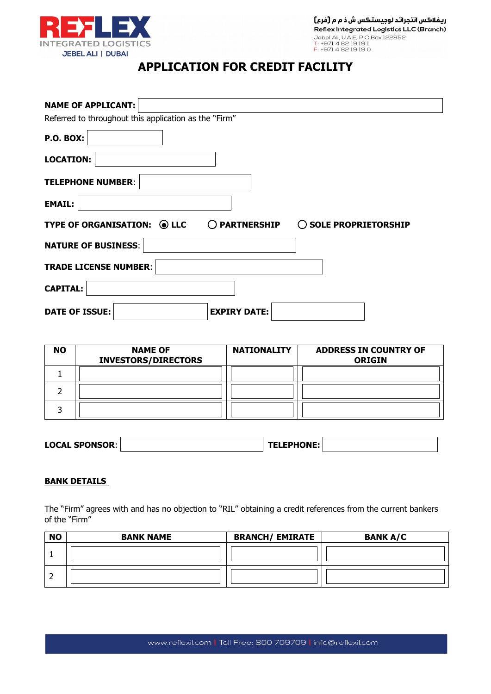

ريفلاكس انتجراتد لوجيستكس ش ذ م م [فرع] Reflex Integrated Logistics LLC (Branch) Nebel Ali, U.A.E., P.O.Box 122852<br>T: +971 4 82 19 19<br>F: +971 4 82 19 19 1

# **APPLICATION FOR CREDIT FACILITY**

| <b>NAME OF APPLICANT:</b>                                                      |
|--------------------------------------------------------------------------------|
| Referred to throughout this application as the "Firm"                          |
| <b>P.O. BOX:</b>                                                               |
| <b>LOCATION:</b>                                                               |
| <b>TELEPHONE NUMBER:</b>                                                       |
| <b>EMAIL:</b>                                                                  |
| TYPE OF ORGANISATION: O LLC<br>$\bigcirc$ partnership<br>◯ SOLE PROPRIETORSHIP |
| <b>NATURE OF BUSINESS:</b>                                                     |
| <b>TRADE LICENSE NUMBER:</b>                                                   |
| <b>CAPITAL:</b>                                                                |
| <b>EXPIRY DATE:</b><br><b>DATE OF ISSUE:</b>                                   |

| <b>NO</b> | <b>NAME OF</b><br><b>INVESTORS/DIRECTORS</b> | <b>NATIONALITY</b> | <b>ADDRESS IN COUNTRY OF</b><br><b>ORIGIN</b> |
|-----------|----------------------------------------------|--------------------|-----------------------------------------------|
|           |                                              |                    |                                               |
|           |                                              |                    |                                               |
|           |                                              |                    |                                               |

| <b>LOCAL SPONSOR:</b> | <b>TELEPHONE:</b> |  |
|-----------------------|-------------------|--|
|-----------------------|-------------------|--|

## **BANK DETAILS**

The "Firm" agrees with and has no objection to "RIL" obtaining a credit references from the current bankers of the "Firm"

| <b>NO</b> | <b>BANK NAME</b> | <b>BRANCH/ EMIRATE</b> | <b>BANK A/C</b> |
|-----------|------------------|------------------------|-----------------|
|           |                  |                        |                 |
|           |                  |                        |                 |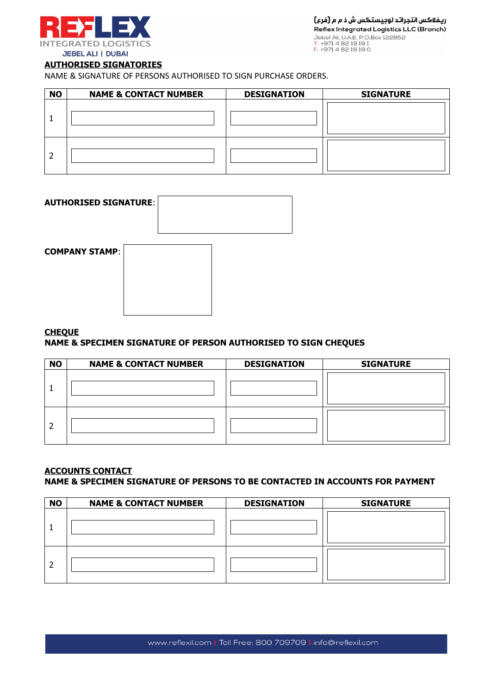

## **AUTHORISED SIGNATORIES**

NAME & SIGNATURE OF PERSONS AUTHORISED TO SIGN PURCHASE ORDERS.

| <b>NO</b> | <b>NAME &amp; CONTACT NUMBER</b> | <b>DESIGNATION</b> | <b>SIGNATURE</b> |
|-----------|----------------------------------|--------------------|------------------|
|           |                                  |                    |                  |
|           |                                  |                    |                  |

| <b>AUTHORISED SIGNATURE:</b> |  |
|------------------------------|--|
| <b>COMPANY STAMP:</b>        |  |
|                              |  |

## **CHEQUE**

## **NAME & SPECIMEN SIGNATURE OF PERSON AUTHORISED TO SIGN CHEQUES**

| <b>NO</b> | <b>NAME &amp; CONTACT NUMBER</b> | <b>DESIGNATION</b> | <b>SIGNATURE</b> |
|-----------|----------------------------------|--------------------|------------------|
|           |                                  |                    |                  |
|           |                                  |                    |                  |

## **ACCOUNTS CONTACT**

## **NAME & SPECIMEN SIGNATURE OF PERSONS TO BE CONTACTED IN ACCOUNTS FOR PAYMENT**

| <b>NO</b> | <b>NAME &amp; CONTACT NUMBER</b> | <b>DESIGNATION</b> | <b>SIGNATURE</b> |
|-----------|----------------------------------|--------------------|------------------|
|           |                                  |                    |                  |
|           |                                  |                    |                  |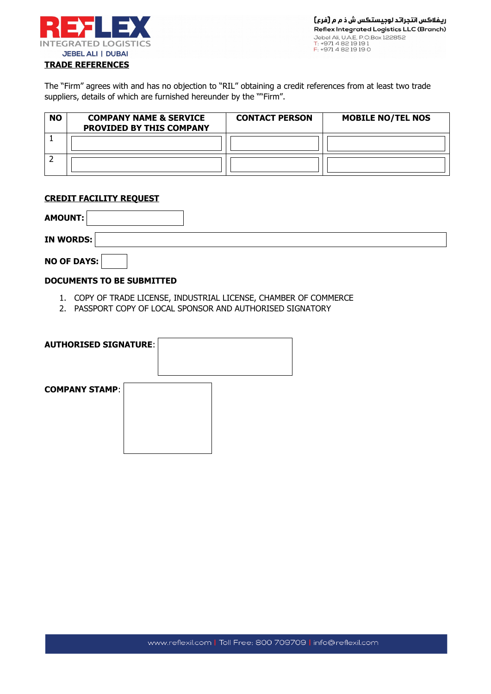

The "Firm" agrees with and has no objection to "RIL" obtaining a credit references from at least two trade suppliers, details of which are furnished hereunder by the ""Firm".

| <b>NO</b> | <b>COMPANY NAME &amp; SERVICE</b><br><b>PROVIDED BY THIS COMPANY</b> | <b>CONTACT PERSON</b> | <b>MOBILE NO/TEL NOS</b> |
|-----------|----------------------------------------------------------------------|-----------------------|--------------------------|
|           |                                                                      |                       |                          |
|           |                                                                      |                       |                          |

## **CREDIT FACILITY REQUEST**

| AMOUNT:            |  |  |  |
|--------------------|--|--|--|
| <b>IN WORDS:</b>   |  |  |  |
| <b>NO OF DAYS:</b> |  |  |  |

## **DOCUMENTS TO BE SUBMITTED**

- 1. COPY OF TRADE LICENSE, INDUSTRIAL LICENSE, CHAMBER OF COMMERCE
- 2. PASSPORT COPY OF LOCAL SPONSOR AND AUTHORISED SIGNATORY

| <b>AUTHORISED SIGNATURE:</b> |  |  |  |
|------------------------------|--|--|--|
| <b>COMPANY STAMP:</b>        |  |  |  |
|                              |  |  |  |
|                              |  |  |  |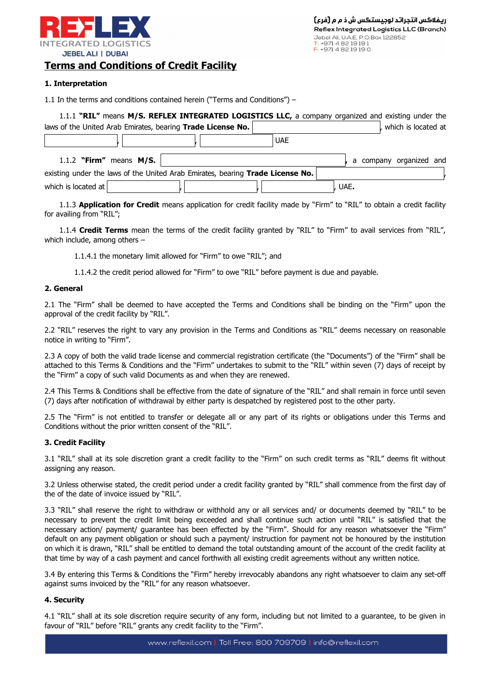

## **Terms and Conditions of Credit Facility**

#### **1. Interpretation**

1.1 In the terms and conditions contained herein ("Terms and Conditions") –

|                     |                           | 1.1.1 "RIL" means M/S. REFLEX INTEGRATED LOGISTICS LLC, a company organized and existing under the |            |      |                         |
|---------------------|---------------------------|----------------------------------------------------------------------------------------------------|------------|------|-------------------------|
|                     |                           | laws of the United Arab Emirates, bearing Trade License No.                                        |            |      | , which is located at   |
|                     |                           |                                                                                                    | <b>UAE</b> |      |                         |
|                     | 1.1.2 "Firm" means $M/S.$ |                                                                                                    |            |      | a company organized and |
|                     |                           | existing under the laws of the United Arab Emirates, bearing Trade License No.                     |            |      |                         |
| which is located at |                           |                                                                                                    |            | UAE. |                         |

1.1.3 **Application for Credit** means application for credit facility made by "Firm" to "RIL" to obtain a credit facility for availing from "RIL";

1.1.4 **Credit Terms** mean the terms of the credit facility granted by "RIL" to "Firm" to avail services from "RIL", which include, among others –

1.1.4.1 the monetary limit allowed for "Firm" to owe "RIL"; and

1.1.4.2 the credit period allowed for "Firm" to owe "RIL" before payment is due and payable.

#### **2. General**

2.1 The "Firm" shall be deemed to have accepted the Terms and Conditions shall be binding on the "Firm" upon the approval of the credit facility by "RIL".

2.2 "RIL" reserves the right to vary any provision in the Terms and Conditions as "RIL" deems necessary on reasonable notice in writing to "Firm".

2.3 A copy of both the valid trade license and commercial registration certificate (the "Documents") of the "Firm" shall be attached to this Terms & Conditions and the "Firm" undertakes to submit to the "RIL" within seven (7) days of receipt by the "Firm" a copy of such valid Documents as and when they are renewed.

2.4 This Terms & Conditions shall be effective from the date of signature of the "RIL" and shall remain in force until seven (7) days after notification of withdrawal by either party is despatched by registered post to the other party.

2.5 The "Firm" is not entitled to transfer or delegate all or any part of its rights or obligations under this Terms and Conditions without the prior written consent of the "RIL".

#### **3. Credit Facility**

3.1 "RIL" shall at its sole discretion grant a credit facility to the "Firm" on such credit terms as "RIL" deems fit without assigning any reason.

3.2 Unless otherwise stated, the credit period under a credit facility granted by "RIL" shall commence from the first day of the of the date of invoice issued by "RIL".

3.3 "RIL" shall reserve the right to withdraw or withhold any or all services and/ or documents deemed by "RIL" to be necessary to prevent the credit limit being exceeded and shall continue such action until "RIL" is satisfied that the necessary action/ payment/ guarantee has been effected by the "Firm". Should for any reason whatsoever the "Firm" default on any payment obligation or should such a payment/ instruction for payment not be honoured by the institution on which it is drawn, "RIL" shall be entitled to demand the total outstanding amount of the account of the credit facility at that time by way of a cash payment and cancel forthwith all existing credit agreements without any written notice.

3.4 By entering this Terms & Conditions the "Firm" hereby irrevocably abandons any right whatsoever to claim any set-off against sums invoiced by the "RIL" for any reason whatsoever.

## **4. Security**

4.1 "RIL" shall at its sole discretion require security of any form, including but not limited to a guarantee, to be given in favour of "RIL" before "RIL" grants any credit facility to the "Firm".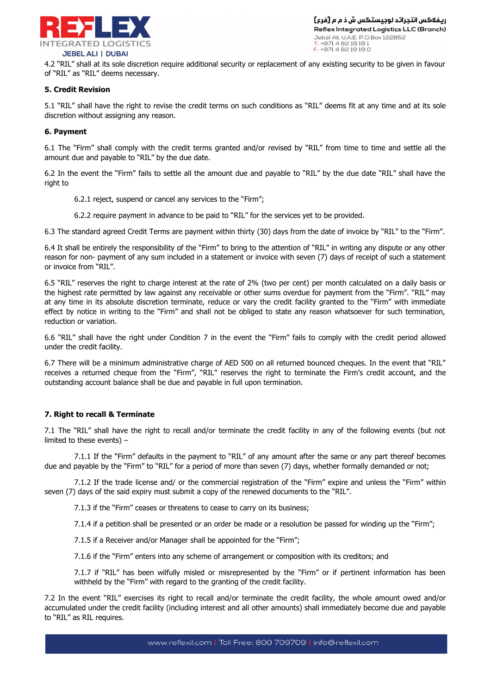

4.2 "RIL" shall at its sole discretion require additional security or replacement of any existing security to be given in favour of "RIL" as "RIL" deems necessary.

#### **5. Credit Revision**

5.1 "RIL" shall have the right to revise the credit terms on such conditions as "RIL" deems fit at any time and at its sole discretion without assigning any reason.

#### **6. Payment**

6.1 The "Firm" shall comply with the credit terms granted and/or revised by "RIL" from time to time and settle all the amount due and payable to "RIL" by the due date.

6.2 In the event the "Firm" fails to settle all the amount due and payable to "RIL" by the due date "RIL" shall have the right to

6.2.1 reject, suspend or cancel any services to the "Firm";

6.2.2 require payment in advance to be paid to "RIL" for the services yet to be provided.

6.3 The standard agreed Credit Terms are payment within thirty (30) days from the date of invoice by "RIL" to the "Firm".

6.4 It shall be entirely the responsibility of the "Firm" to bring to the attention of "RIL" in writing any dispute or any other reason for non- payment of any sum included in a statement or invoice with seven (7) days of receipt of such a statement or invoice from "RIL".

6.5 "RIL" reserves the right to charge interest at the rate of 2% (two per cent) per month calculated on a daily basis or the highest rate permitted by law against any receivable or other sums overdue for payment from the "Firm". "RIL" may at any time in its absolute discretion terminate, reduce or vary the credit facility granted to the "Firm" with immediate effect by notice in writing to the "Firm" and shall not be obliged to state any reason whatsoever for such termination, reduction or variation.

6.6 "RIL" shall have the right under Condition 7 in the event the "Firm" fails to comply with the credit period allowed under the credit facility.

6.7 There will be a minimum administrative charge of AED 500 on all returned bounced cheques. In the event that "RIL" receives a returned cheque from the "Firm", "RIL" reserves the right to terminate the Firm's credit account, and the outstanding account balance shall be due and payable in full upon termination.

#### **7. Right to recall & Terminate**

7.1 The "RIL" shall have the right to recall and/or terminate the credit facility in any of the following events (but not limited to these events) –

7.1.1 If the "Firm" defaults in the payment to "RIL" of any amount after the same or any part thereof becomes due and payable by the "Firm" to "RIL" for a period of more than seven (7) days, whether formally demanded or not;

7.1.2 If the trade license and/ or the commercial registration of the "Firm" expire and unless the "Firm" within seven (7) days of the said expiry must submit a copy of the renewed documents to the "RIL".

7.1.3 if the "Firm" ceases or threatens to cease to carry on its business;

7.1.4 if a petition shall be presented or an order be made or a resolution be passed for winding up the "Firm";

7.1.5 if a Receiver and/or Manager shall be appointed for the "Firm";

7.1.6 if the "Firm" enters into any scheme of arrangement or composition with its creditors; and

7.1.7 if "RIL" has been wilfully misled or misrepresented by the "Firm" or if pertinent information has been withheld by the "Firm" with regard to the granting of the credit facility.

7.2 In the event "RIL" exercises its right to recall and/or terminate the credit facility, the whole amount owed and/or accumulated under the credit facility (including interest and all other amounts) shall immediately become due and payable to "RIL" as RIL requires.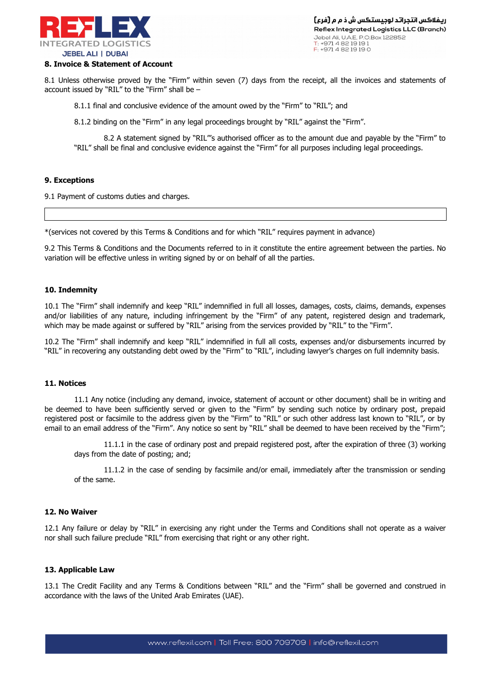

#### **8. Invoice & Statement of Account**

8.1 Unless otherwise proved by the "Firm" within seven (7) days from the receipt, all the invoices and statements of account issued by "RIL" to the "Firm" shall be –

8.1.1 final and conclusive evidence of the amount owed by the "Firm" to "RIL"; and

8.1.2 binding on the "Firm" in any legal proceedings brought by "RIL" against the "Firm".

8.2 A statement signed by "RIL"'s authorised officer as to the amount due and payable by the "Firm" to "RIL" shall be final and conclusive evidence against the "Firm" for all purposes including legal proceedings.

#### **9. Exceptions**

9.1 Payment of customs duties and charges.

\*(services not covered by this Terms & Conditions and for which "RIL" requires payment in advance)

9.2 This Terms & Conditions and the Documents referred to in it constitute the entire agreement between the parties. No variation will be effective unless in writing signed by or on behalf of all the parties.

#### **10. Indemnity**

10.1 The "Firm" shall indemnify and keep "RIL" indemnified in full all losses, damages, costs, claims, demands, expenses and/or liabilities of any nature, including infringement by the "Firm" of any patent, registered design and trademark, which may be made against or suffered by "RIL" arising from the services provided by "RIL" to the "Firm".

10.2 The "Firm" shall indemnify and keep "RIL" indemnified in full all costs, expenses and/or disbursements incurred by "RIL" in recovering any outstanding debt owed by the "Firm" to "RIL", including lawyer's charges on full indemnity basis.

#### **11. Notices**

11.1 Any notice (including any demand, invoice, statement of account or other document) shall be in writing and be deemed to have been sufficiently served or given to the "Firm" by sending such notice by ordinary post, prepaid registered post or facsimile to the address given by the "Firm" to "RIL" or such other address last known to "RIL", or by email to an email address of the "Firm". Any notice so sent by "RIL" shall be deemed to have been received by the "Firm";

11.1.1 in the case of ordinary post and prepaid registered post, after the expiration of three (3) working days from the date of posting; and;

11.1.2 in the case of sending by facsimile and/or email, immediately after the transmission or sending of the same.

#### **12. No Waiver**

12.1 Any failure or delay by "RIL" in exercising any right under the Terms and Conditions shall not operate as a waiver nor shall such failure preclude "RIL" from exercising that right or any other right.

#### **13. Applicable Law**

13.1 The Credit Facility and any Terms & Conditions between "RIL" and the "Firm" shall be governed and construed in accordance with the laws of the United Arab Emirates (UAE).